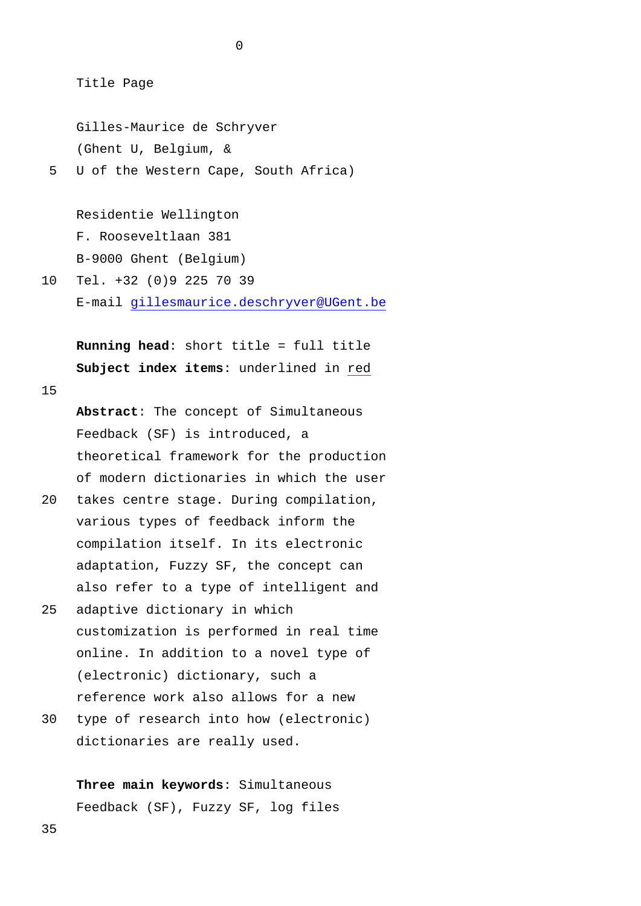Title Page

Gilles-Maurice de Schryver (Ghent U, Belgium, &

5 U of the Western Cape, South Africa)

Residentie Wellington F. Rooseveltlaan 381 B-9000 Ghent (Belgium)

10 Tel. +32 (0)9 225 70 39 E-mail [gillesmaurice.deschryver@UGent.be](mailto:gillesmaurice.deschryver@UGent.be)

**Running head**: short title = full title **Subject index items**: underlined in red

15

**Abstract**: The concept of Simultaneous Feedback (SF) is introduced, a theoretical framework for the production of modern dictionaries in which the user

- 20 takes centre stage. During compilation, various types of feedback inform the compilation itself. In its electronic adaptation, Fuzzy SF, the concept can also refer to a type of intelligent and
- 25 adaptive dictionary in which customization is performed in real time online. In addition to a novel type of (electronic) dictionary, such a reference work also allows for a new
- 30 type of research into how (electronic) dictionaries are really used.

**Three main keywords**: Simultaneous Feedback (SF), Fuzzy SF, log files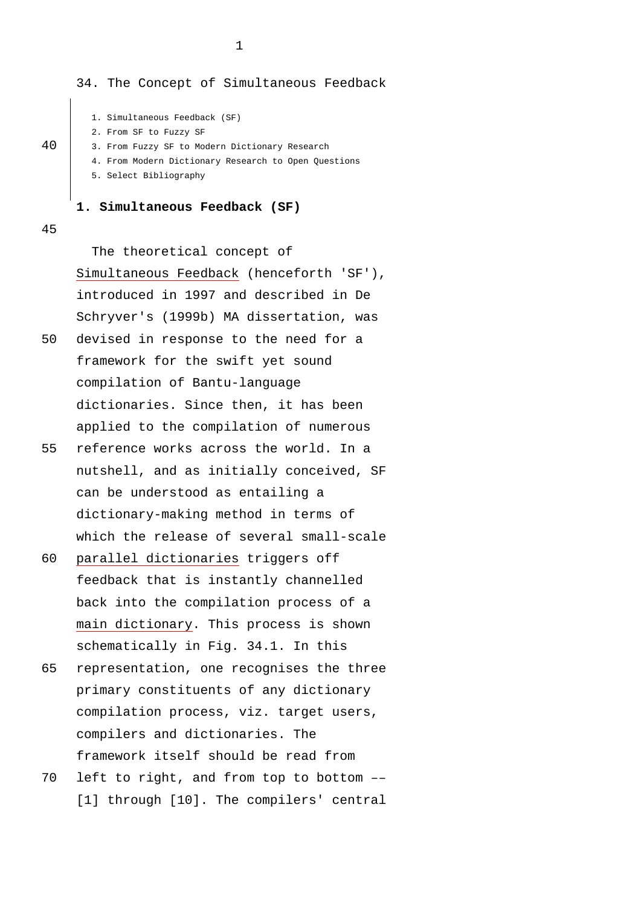34. The Concept of Simultaneous Feedback

```
1. Simultaneous Feedback (SF)
```
2. From SF to Fuzzy SF

40 3. From Fuzzy SF to Modern Dictionary Research

4. From Modern Dictionary Research to Open Questions

5. Select Bibliography

### **1. Simultaneous Feedback (SF)**

45

The theoretical concept of Simultaneous Feedback (henceforth 'SF'), introduced in 1997 and described in De Schryver's (1999b) MA dissertation, was 50 devised in response to the need for a framework for the swift yet sound

- compilation of Bantu-language dictionaries. Since then, it has been applied to the compilation of numerous
- 55 reference works across the world. In a nutshell, and as initially conceived, SF can be understood as entailing a dictionary-making method in terms of which the release of several small-scale
- 60 parallel dictionaries triggers off feedback that is instantly channelled back into the compilation process of a main dictionary. This process is shown schematically in Fig. 34.1. In this
- 65 representation, one recognises the three primary constituents of any dictionary compilation process, viz. target users, compilers and dictionaries. The framework itself should be read from
- 70 left to right, and from top to bottom –– [1] through [10]. The compilers' central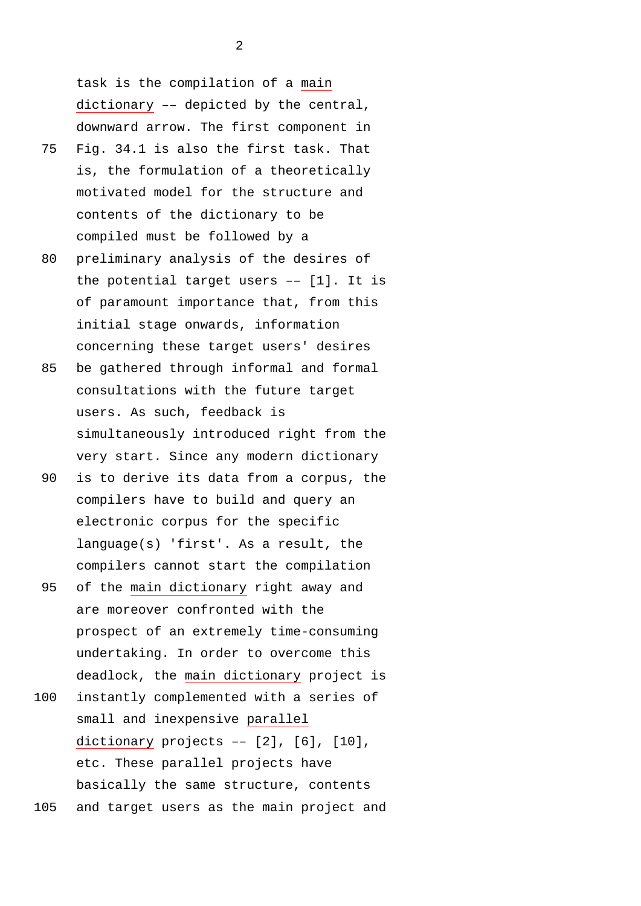task is the compilation of a main dictionary –– depicted by the central, downward arrow. The first component in

- 75 Fig. 34.1 is also the first task. That is, the formulation of a theoretically motivated model for the structure and contents of the dictionary to be compiled must be followed by a
- 80 preliminary analysis of the desires of the potential target users –– [1]. It is of paramount importance that, from this initial stage onwards, information concerning these target users' desires
- 85 be gathered through informal and formal consultations with the future target users. As such, feedback is simultaneously introduced right from the very start. Since any modern dictionary
- 90 is to derive its data from a corpus, the compilers have to build and query an electronic corpus for the specific language(s) 'first'. As a result, the compilers cannot start the compilation
- 95 of the main dictionary right away and are moreover confronted with the prospect of an extremely time-consuming undertaking. In order to overcome this deadlock, the main dictionary project is
- 100 instantly complemented with a series of small and inexpensive parallel dictionary projects –– [2], [6], [10], etc. These parallel projects have basically the same structure, contents 105 and target users as the main project and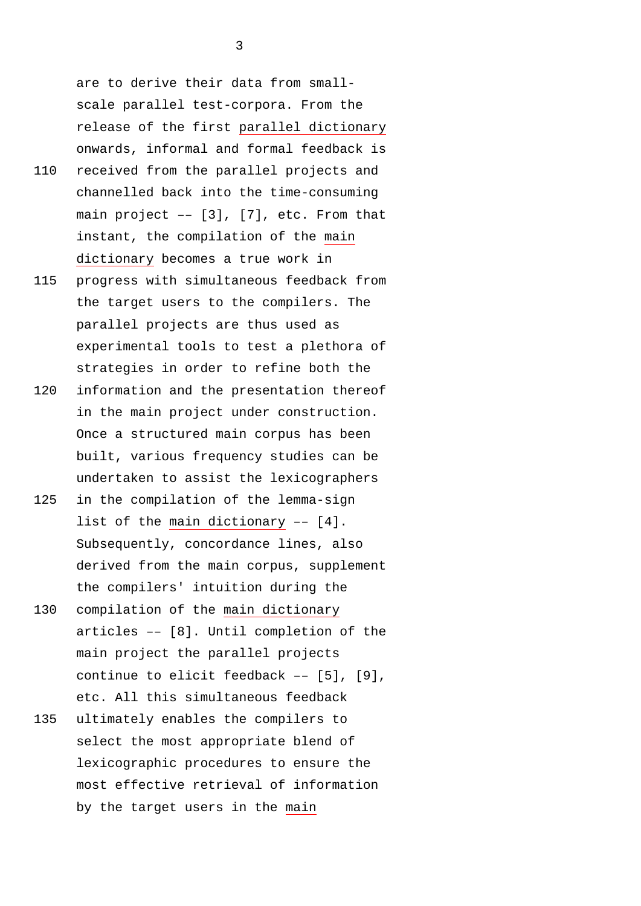are to derive their data from smallscale parallel test-corpora. From the release of the first parallel dictionary onwards, informal and formal feedback is

- 110 received from the parallel projects and channelled back into the time-consuming main project  $-$  [3], [7], etc. From that instant, the compilation of the main dictionary becomes a true work in
- 115 progress with simultaneous feedback from the target users to the compilers. The parallel projects are thus used as experimental tools to test a plethora of strategies in order to refine both the
- 120 information and the presentation thereof in the main project under construction. Once a structured main corpus has been built, various frequency studies can be undertaken to assist the lexicographers
- 125 in the compilation of the lemma-sign list of the main dictionary –– [4]. Subsequently, concordance lines, also derived from the main corpus, supplement the compilers' intuition during the
- 130 compilation of the main dictionary articles –– [8]. Until completion of the main project the parallel projects continue to elicit feedback –– [5], [9], etc. All this simultaneous feedback
- 135 ultimately enables the compilers to select the most appropriate blend of lexicographic procedures to ensure the most effective retrieval of information by the target users in the main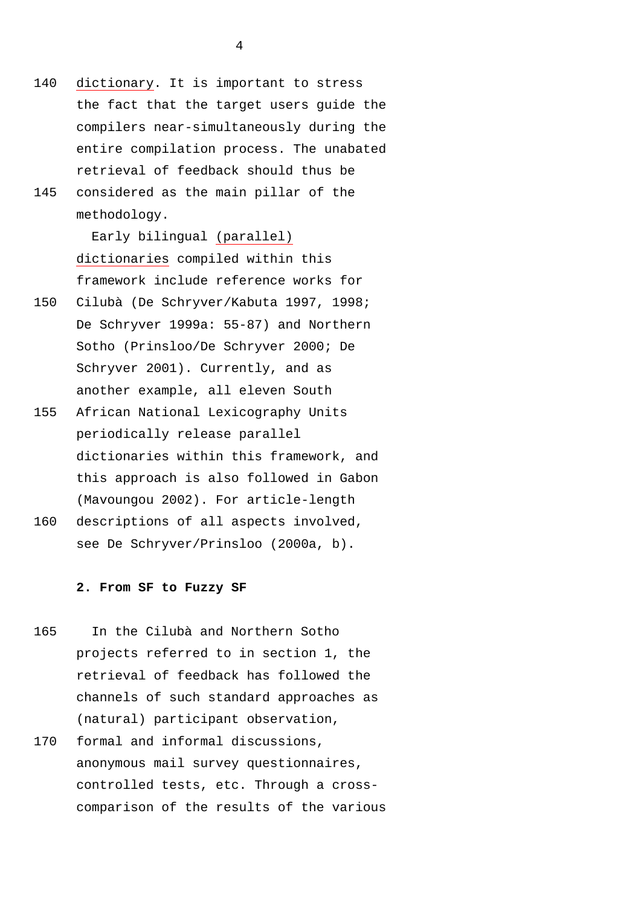- 140 dictionary. It is important to stress the fact that the target users guide the compilers near-simultaneously during the entire compilation process. The unabated retrieval of feedback should thus be 145 considered as the main pillar of the
- methodology.

Early bilingual (parallel) dictionaries compiled within this framework include reference works for

- 150 Cilubà (De Schryver/Kabuta 1997, 1998; De Schryver 1999a: 55-87) and Northern Sotho (Prinsloo/De Schryver 2000; De Schryver 2001). Currently, and as another example, all eleven South
- 155 African National Lexicography Units periodically release parallel dictionaries within this framework, and this approach is also followed in Gabon (Mavoungou 2002). For article-length
- 160 descriptions of all aspects involved, see De Schryver/Prinsloo (2000a, b).

#### **2. From SF to Fuzzy SF**

- 165 In the Cilubà and Northern Sotho projects referred to in section 1, the retrieval of feedback has followed the channels of such standard approaches as (natural) participant observation,
- 170 formal and informal discussions, anonymous mail survey questionnaires, controlled tests, etc. Through a crosscomparison of the results of the various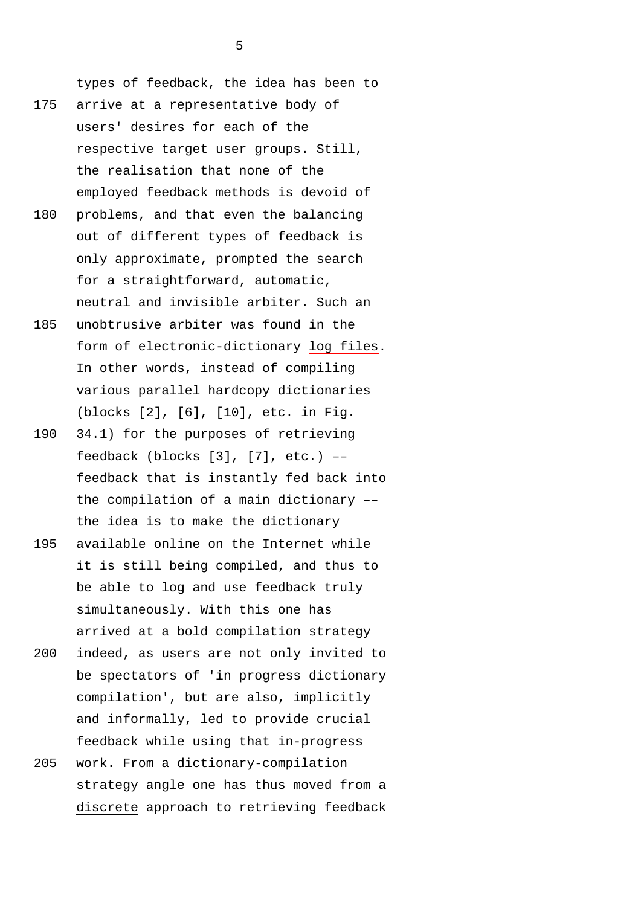types of feedback, the idea has been to 175 arrive at a representative body of users' desires for each of the respective target user groups. Still, the realisation that none of the employed feedback methods is devoid of

- 180 problems, and that even the balancing out of different types of feedback is only approximate, prompted the search for a straightforward, automatic, neutral and invisible arbiter. Such an
- 185 unobtrusive arbiter was found in the form of electronic-dictionary log files. In other words, instead of compiling various parallel hardcopy dictionaries (blocks [2], [6], [10], etc. in Fig.
- 190 34.1) for the purposes of retrieving feedback (blocks [3], [7], etc.) –– feedback that is instantly fed back into the compilation of a main dictionary –– the idea is to make the dictionary
- 195 available online on the Internet while it is still being compiled, and thus to be able to log and use feedback truly simultaneously. With this one has arrived at a bold compilation strategy
- 200 indeed, as users are not only invited to be spectators of 'in progress dictionary compilation', but are also, implicitly and informally, led to provide crucial feedback while using that in-progress
- 205 work. From a dictionary-compilation strategy angle one has thus moved from a discrete approach to retrieving feedback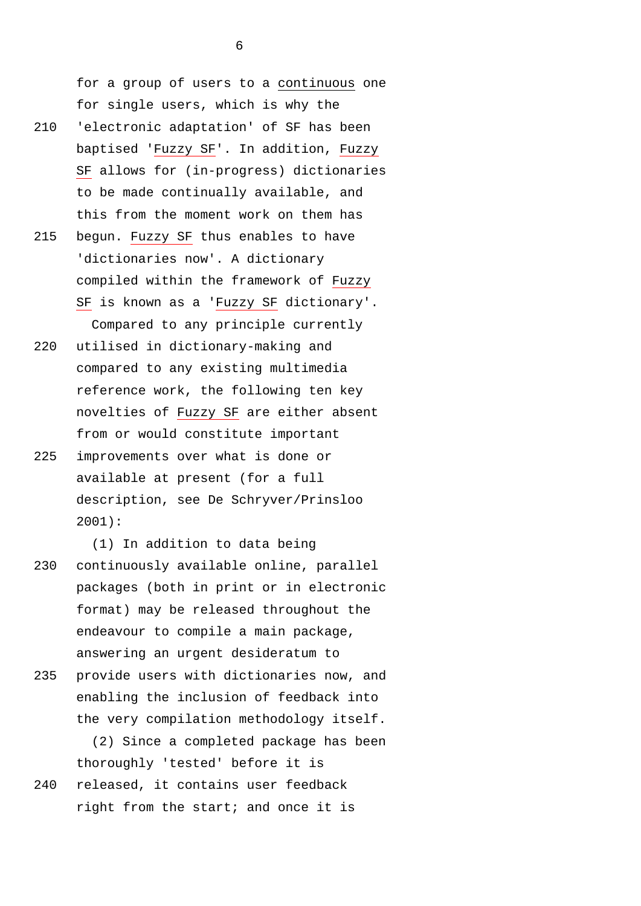for a group of users to a continuous one for single users, which is why the 210 'electronic adaptation' of SF has been baptised 'Fuzzy SF'. In addition, Fuzzy SF allows for (in-progress) dictionaries to be made continually available, and this from the moment work on them has 215 begun. Fuzzy SF thus enables to have

- 'dictionaries now'. A dictionary compiled within the framework of Fuzzy SF is known as a 'Fuzzy SF dictionary'. Compared to any principle currently
- 220 utilised in dictionary-making and compared to any existing multimedia reference work, the following ten key novelties of Fuzzy SF are either absent from or would constitute important
- 225 improvements over what is done or available at present (for a full description, see De Schryver/Prinsloo 2001):

(1) In addition to data being 230 continuously available online, parallel packages (both in print or in electronic format) may be released throughout the endeavour to compile a main package, answering an urgent desideratum to

235 provide users with dictionaries now, and enabling the inclusion of feedback into the very compilation methodology itself.

(2) Since a completed package has been thoroughly 'tested' before it is 240 released, it contains user feedback

right from the start; and once it is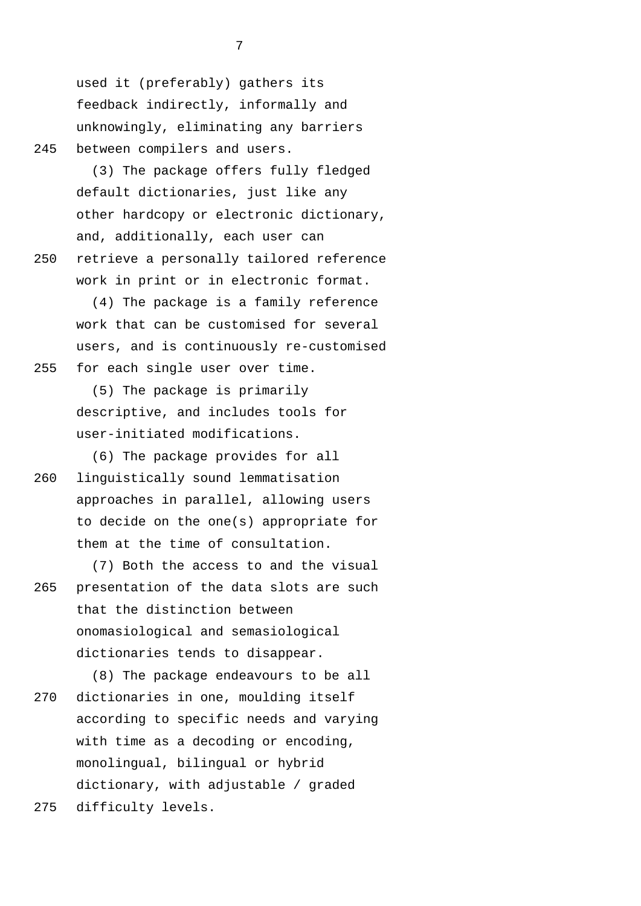used it (preferably) gathers its feedback indirectly, informally and unknowingly, eliminating any barriers 245 between compilers and users.

(3) The package offers fully fledged default dictionaries, just like any other hardcopy or electronic dictionary, and, additionally, each user can 250 retrieve a personally tailored reference work in print or in electronic format.

(4) The package is a family reference work that can be customised for several users, and is continuously re-customised 255 for each single user over time.

> (5) The package is primarily descriptive, and includes tools for user-initiated modifications.

(6) The package provides for all 260 linguistically sound lemmatisation approaches in parallel, allowing users to decide on the one(s) appropriate for them at the time of consultation.

(7) Both the access to and the visual 265 presentation of the data slots are such that the distinction between onomasiological and semasiological dictionaries tends to disappear.

(8) The package endeavours to be all 270 dictionaries in one, moulding itself according to specific needs and varying with time as a decoding or encoding, monolingual, bilingual or hybrid dictionary, with adjustable / graded 275 difficulty levels.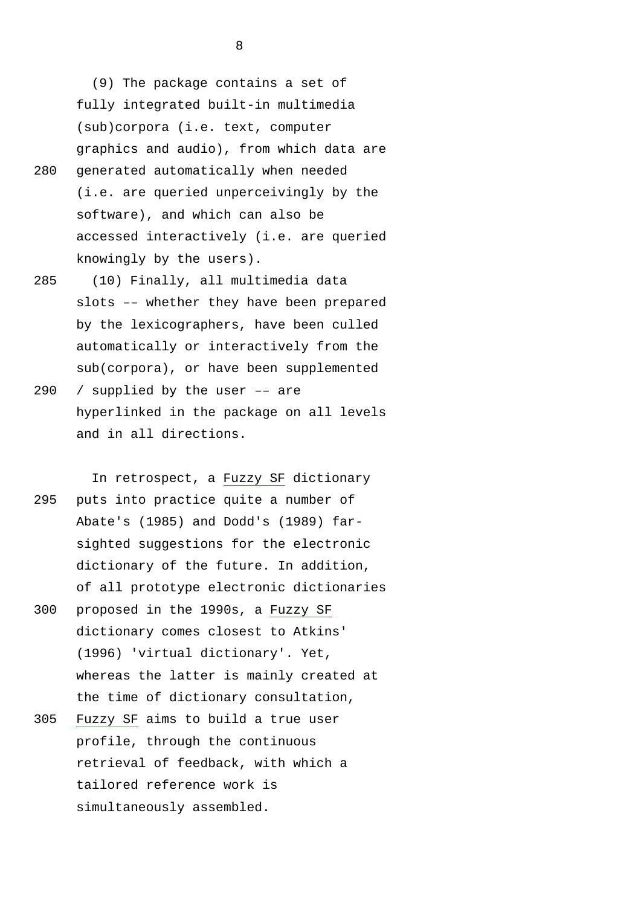(9) The package contains a set of fully integrated built-in multimedia (sub)corpora (i.e. text, computer graphics and audio), from which data are

- 280 generated automatically when needed (i.e. are queried unperceivingly by the software), and which can also be accessed interactively (i.e. are queried knowingly by the users).
- 285 (10) Finally, all multimedia data slots –– whether they have been prepared by the lexicographers, have been culled automatically or interactively from the sub(corpora), or have been supplemented
- 290 / supplied by the user –– are hyperlinked in the package on all levels and in all directions.

In retrospect, a Fuzzy SF dictionary 295 puts into practice quite a number of Abate's (1985) and Dodd's (1989) farsighted suggestions for the electronic dictionary of the future. In addition, of all prototype electronic dictionaries

- 300 proposed in the 1990s, a Fuzzy SF dictionary comes closest to Atkins' (1996) 'virtual dictionary'. Yet, whereas the latter is mainly created at the time of dictionary consultation,
- 305 Fuzzy SF aims to build a true user profile, through the continuous retrieval of feedback, with which a tailored reference work is simultaneously assembled.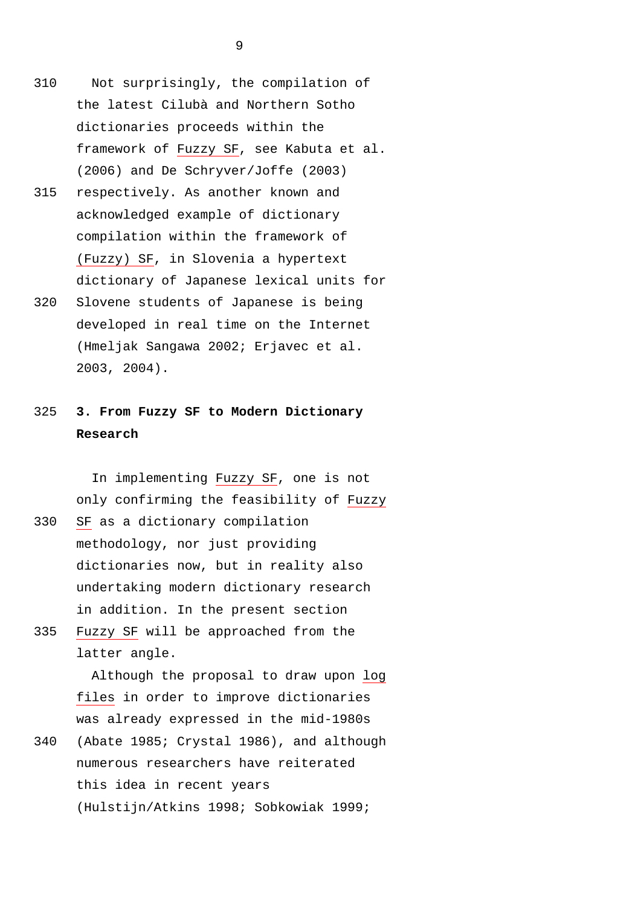- 310 Not surprisingly, the compilation of the latest Cilubà and Northern Sotho dictionaries proceeds within the framework of Fuzzy SF, see Kabuta et al. (2006) and De Schryver/Joffe (2003)
- 315 respectively. As another known and acknowledged example of dictionary compilation within the framework of (Fuzzy) SF, in Slovenia a hypertext dictionary of Japanese lexical units for
- 320 Slovene students of Japanese is being developed in real time on the Internet (Hmeljak Sangawa 2002; Erjavec et al. 2003, 2004).

## 325 **3. From Fuzzy SF to Modern Dictionary Research**

In implementing Fuzzy SF, one is not only confirming the feasibility of Fuzzy 330 SF as a dictionary compilation

- methodology, nor just providing dictionaries now, but in reality also undertaking modern dictionary research in addition. In the present section
- 335 Fuzzy SF will be approached from the latter angle.

Although the proposal to draw upon log files in order to improve dictionaries was already expressed in the mid-1980s

340 (Abate 1985; Crystal 1986), and although numerous researchers have reiterated this idea in recent years (Hulstijn/Atkins 1998; Sobkowiak 1999;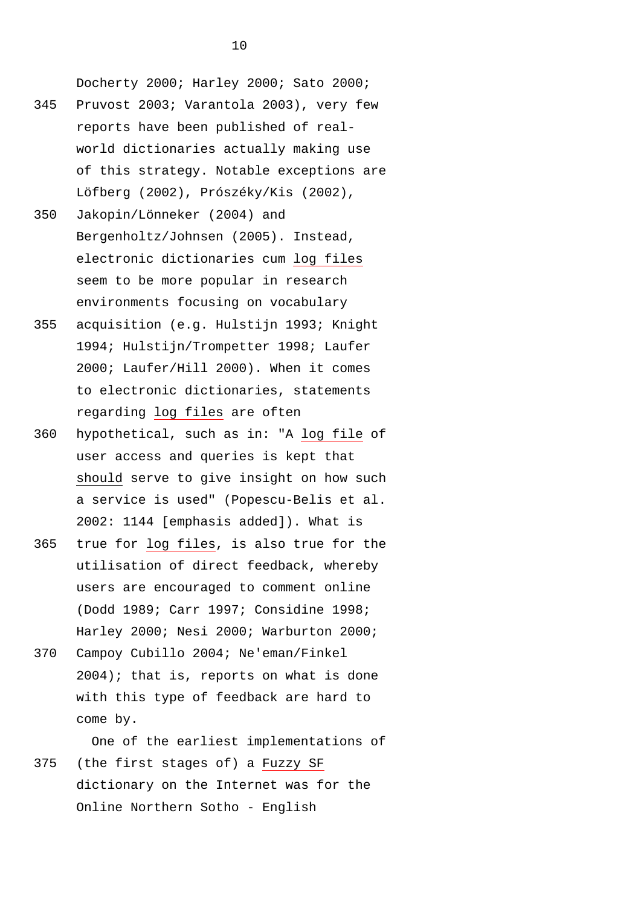Docherty 2000; Harley 2000; Sato 2000;

- 345 Pruvost 2003; Varantola 2003), very few reports have been published of realworld dictionaries actually making use of this strategy. Notable exceptions are Löfberg (2002), Prószéky/Kis (2002),
- 350 Jakopin/Lönneker (2004) and Bergenholtz/Johnsen (2005). Instead, electronic dictionaries cum log files seem to be more popular in research environments focusing on vocabulary
- 355 acquisition (e.g. Hulstijn 1993; Knight 1994; Hulstijn/Trompetter 1998; Laufer 2000; Laufer/Hill 2000). When it comes to electronic dictionaries, statements regarding log files are often
- 360 hypothetical, such as in: "A log file of user access and queries is kept that should serve to give insight on how such a service is used" (Popescu-Belis et al. 2002: 1144 [emphasis added]). What is
- 365 true for log files, is also true for the utilisation of direct feedback, whereby users are encouraged to comment online (Dodd 1989; Carr 1997; Considine 1998; Harley 2000; Nesi 2000; Warburton 2000;
- 370 Campoy Cubillo 2004; Ne'eman/Finkel 2004); that is, reports on what is done with this type of feedback are hard to come by.

One of the earliest implementations of 375 (the first stages of) a Fuzzy SF dictionary on the Internet was for the Online Northern Sotho - English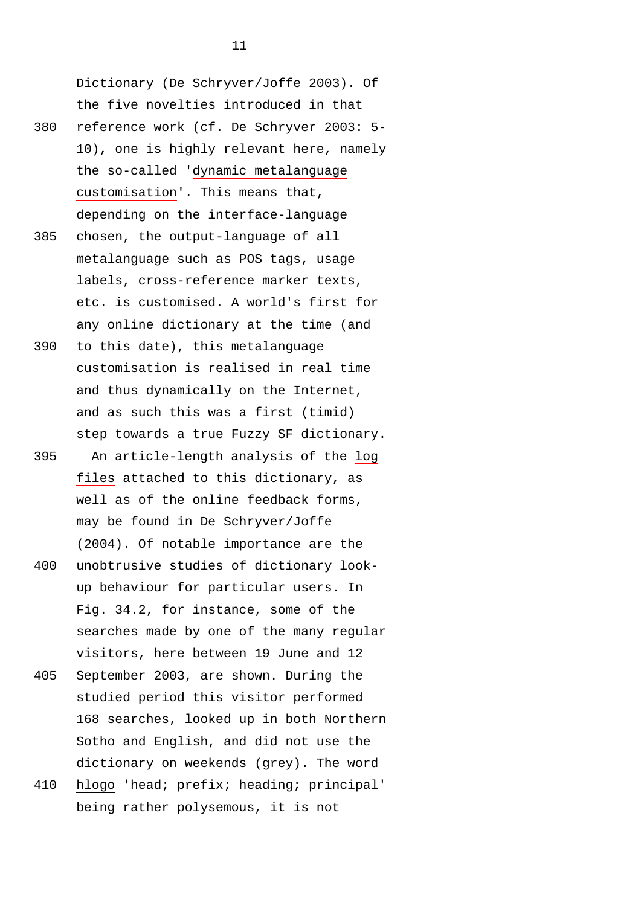Dictionary (De Schryver/Joffe 2003). Of the five novelties introduced in that 380 reference work (cf. De Schryver 2003: 5-

- 10), one is highly relevant here, namely the so-called 'dynamic metalanguage customisation'. This means that, depending on the interface-language
- 385 chosen, the output-language of all metalanguage such as POS tags, usage labels, cross-reference marker texts, etc. is customised. A world's first for any online dictionary at the time (and
- 390 to this date), this metalanguage customisation is realised in real time and thus dynamically on the Internet, and as such this was a first (timid) step towards a true Fuzzy SF dictionary.
- 395 An article-length analysis of the log files attached to this dictionary, as well as of the online feedback forms, may be found in De Schryver/Joffe (2004). Of notable importance are the
- 400 unobtrusive studies of dictionary lookup behaviour for particular users. In Fig. 34.2, for instance, some of the searches made by one of the many regular visitors, here between 19 June and 12
- 405 September 2003, are shown. During the studied period this visitor performed 168 searches, looked up in both Northern Sotho and English, and did not use the dictionary on weekends (grey). The word
- 410 hlogo 'head; prefix; heading; principal' being rather polysemous, it is not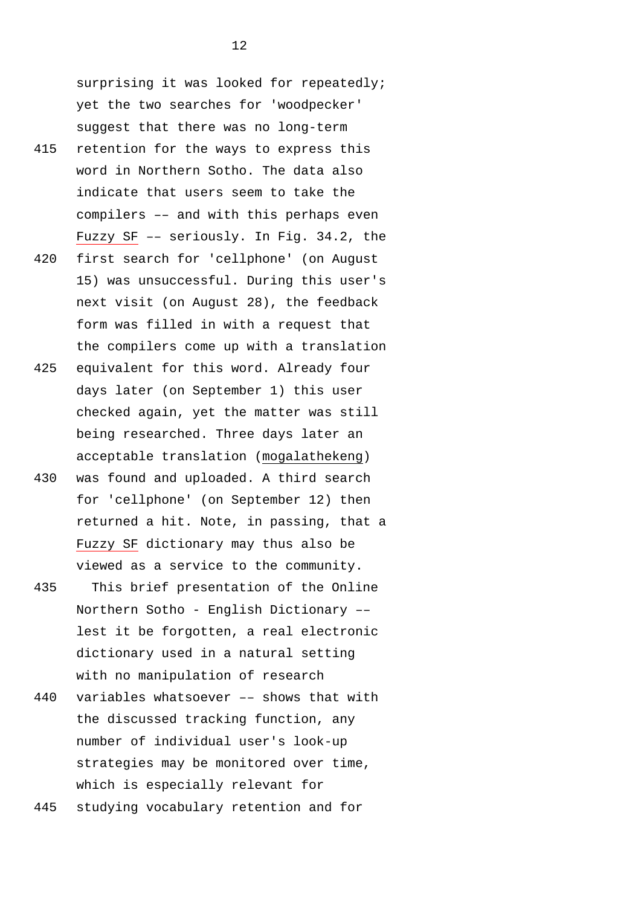surprising it was looked for repeatedly; yet the two searches for 'woodpecker' suggest that there was no long-term

- 415 retention for the ways to express this word in Northern Sotho. The data also indicate that users seem to take the compilers –– and with this perhaps even Fuzzy SF –– seriously. In Fig. 34.2, the
- 420 first search for 'cellphone' (on August 15) was unsuccessful. During this user's next visit (on August 28), the feedback form was filled in with a request that the compilers come up with a translation
- 425 equivalent for this word. Already four days later (on September 1) this user checked again, yet the matter was still being researched. Three days later an acceptable translation (mogalathekeng)
- 430 was found and uploaded. A third search for 'cellphone' (on September 12) then returned a hit. Note, in passing, that a Fuzzy SF dictionary may thus also be viewed as a service to the community.
- 435 This brief presentation of the Online Northern Sotho - English Dictionary –– lest it be forgotten, a real electronic dictionary used in a natural setting with no manipulation of research
- 440 variables whatsoever –– shows that with the discussed tracking function, any number of individual user's look-up strategies may be monitored over time, which is especially relevant for

445 studying vocabulary retention and for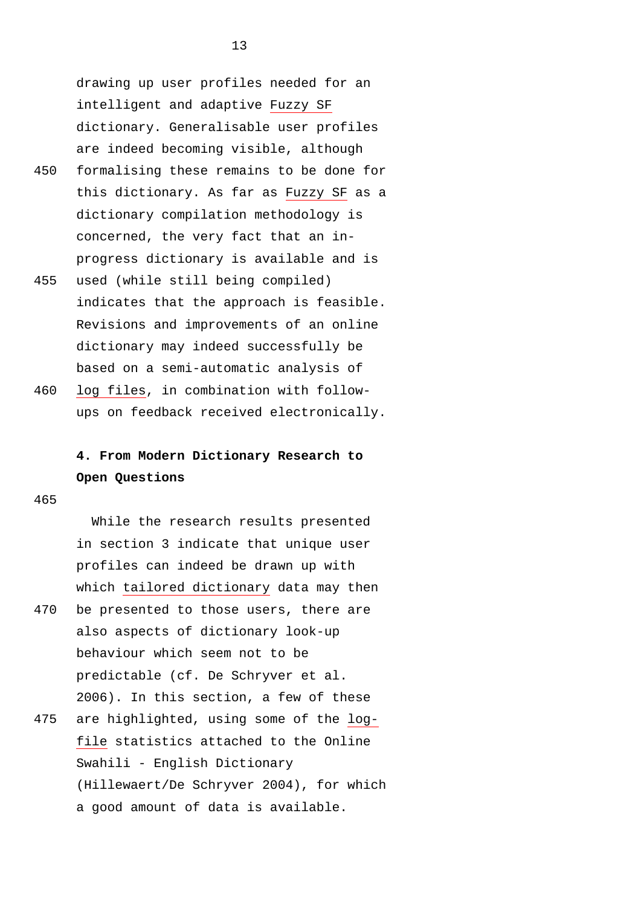drawing up user profiles needed for an intelligent and adaptive Fuzzy SF dictionary. Generalisable user profiles are indeed becoming visible, although

- 450 formalising these remains to be done for this dictionary. As far as Fuzzy SF as a dictionary compilation methodology is concerned, the very fact that an inprogress dictionary is available and is
- 455 used (while still being compiled) indicates that the approach is feasible. Revisions and improvements of an online dictionary may indeed successfully be based on a semi-automatic analysis of
- 460 log files, in combination with followups on feedback received electronically.

# **4. From Modern Dictionary Research to Open Questions**

465

While the research results presented in section 3 indicate that unique user profiles can indeed be drawn up with which tailored dictionary data may then 470 be presented to those users, there are also aspects of dictionary look-up behaviour which seem not to be predictable (cf. De Schryver et al. 2006). In this section, a few of these 475 are highlighted, using some of the log-

file statistics attached to the Online Swahili - English Dictionary (Hillewaert/De Schryver 2004), for which a good amount of data is available.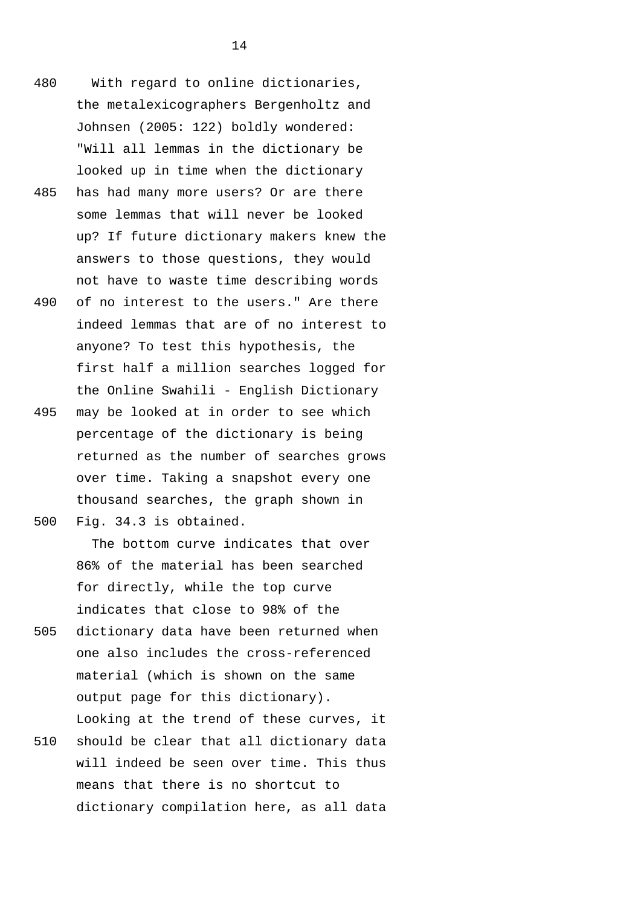- 480 With regard to online dictionaries, the metalexicographers Bergenholtz and Johnsen (2005: 122) boldly wondered: "Will all lemmas in the dictionary be looked up in time when the dictionary
- 485 has had many more users? Or are there some lemmas that will never be looked up? If future dictionary makers knew the answers to those questions, they would not have to waste time describing words
- 490 of no interest to the users." Are there indeed lemmas that are of no interest to anyone? To test this hypothesis, the first half a million searches logged for the Online Swahili - English Dictionary
- 495 may be looked at in order to see which percentage of the dictionary is being returned as the number of searches grows over time. Taking a snapshot every one thousand searches, the graph shown in 500 Fig. 34.3 is obtained.

The bottom curve indicates that over 86% of the material has been searched for directly, while the top curve indicates that close to 98% of the

- 505 dictionary data have been returned when one also includes the cross-referenced material (which is shown on the same output page for this dictionary). Looking at the trend of these curves, it
- 510 should be clear that all dictionary data will indeed be seen over time. This thus means that there is no shortcut to dictionary compilation here, as all data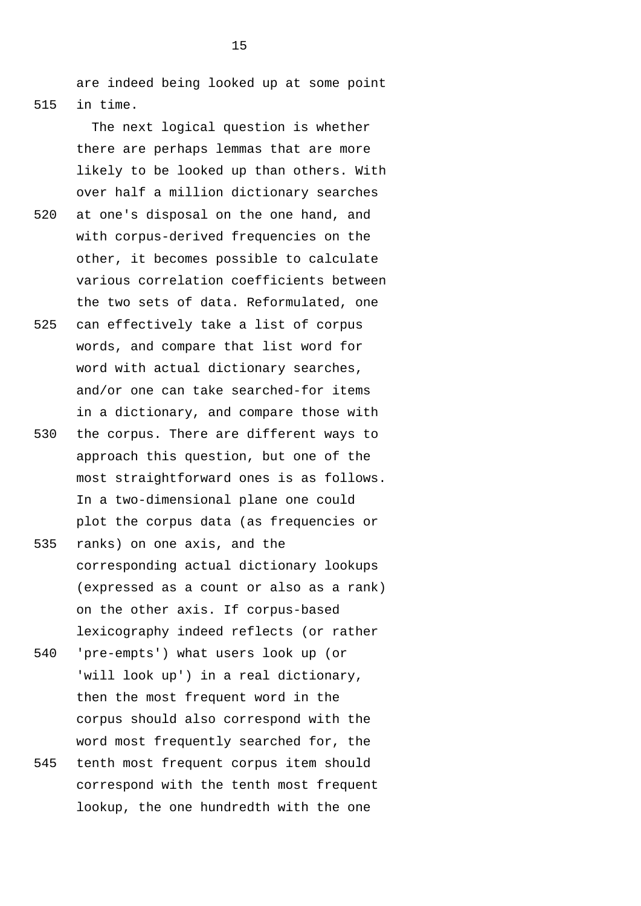are indeed being looked up at some point 515 in time.

> The next logical question is whether there are perhaps lemmas that are more likely to be looked up than others. With over half a million dictionary searches

- 520 at one's disposal on the one hand, and with corpus-derived frequencies on the other, it becomes possible to calculate various correlation coefficients between the two sets of data. Reformulated, one
- 525 can effectively take a list of corpus words, and compare that list word for word with actual dictionary searches, and/or one can take searched-for items in a dictionary, and compare those with
- 530 the corpus. There are different ways to approach this question, but one of the most straightforward ones is as follows. In a two-dimensional plane one could plot the corpus data (as frequencies or
- 535 ranks) on one axis, and the corresponding actual dictionary lookups (expressed as a count or also as a rank) on the other axis. If corpus-based lexicography indeed reflects (or rather
- 540 'pre-empts') what users look up (or 'will look up') in a real dictionary, then the most frequent word in the corpus should also correspond with the word most frequently searched for, the
- 545 tenth most frequent corpus item should correspond with the tenth most frequent lookup, the one hundredth with the one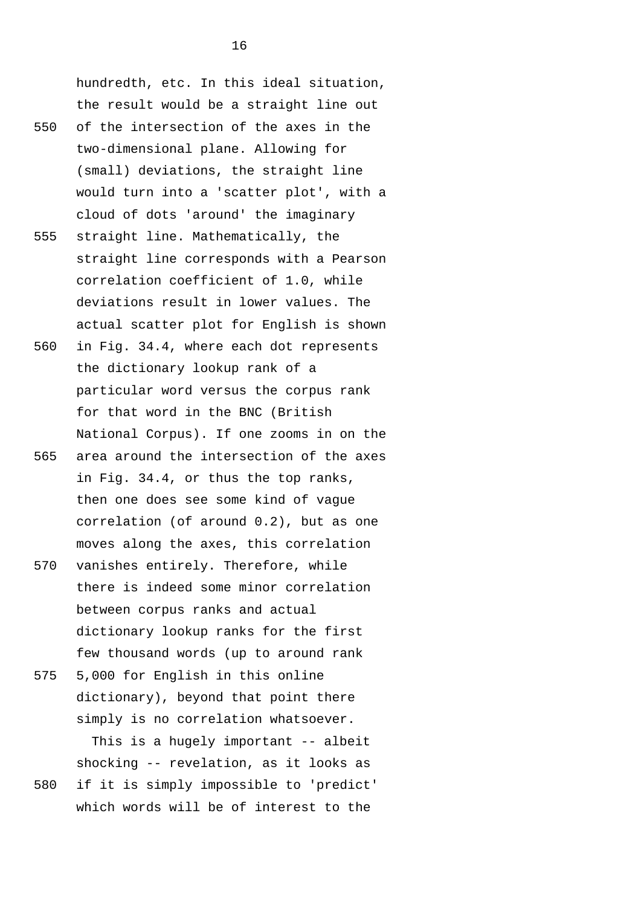hundredth, etc. In this ideal situation, the result would be a straight line out 550 of the intersection of the axes in the two-dimensional plane. Allowing for (small) deviations, the straight line would turn into a 'scatter plot', with a cloud of dots 'around' the imaginary 555 straight line. Mathematically, the straight line corresponds with a Pearson correlation coefficient of 1.0, while deviations result in lower values. The

560 in Fig. 34.4, where each dot represents the dictionary lookup rank of a particular word versus the corpus rank for that word in the BNC (British National Corpus). If one zooms in on the

actual scatter plot for English is shown

- 565 area around the intersection of the axes in Fig. 34.4, or thus the top ranks, then one does see some kind of vague correlation (of around 0.2), but as one moves along the axes, this correlation
- 570 vanishes entirely. Therefore, while there is indeed some minor correlation between corpus ranks and actual dictionary lookup ranks for the first few thousand words (up to around rank
- 575 5,000 for English in this online dictionary), beyond that point there simply is no correlation whatsoever. This is a hugely important -- albeit
- shocking -- revelation, as it looks as 580 if it is simply impossible to 'predict' which words will be of interest to the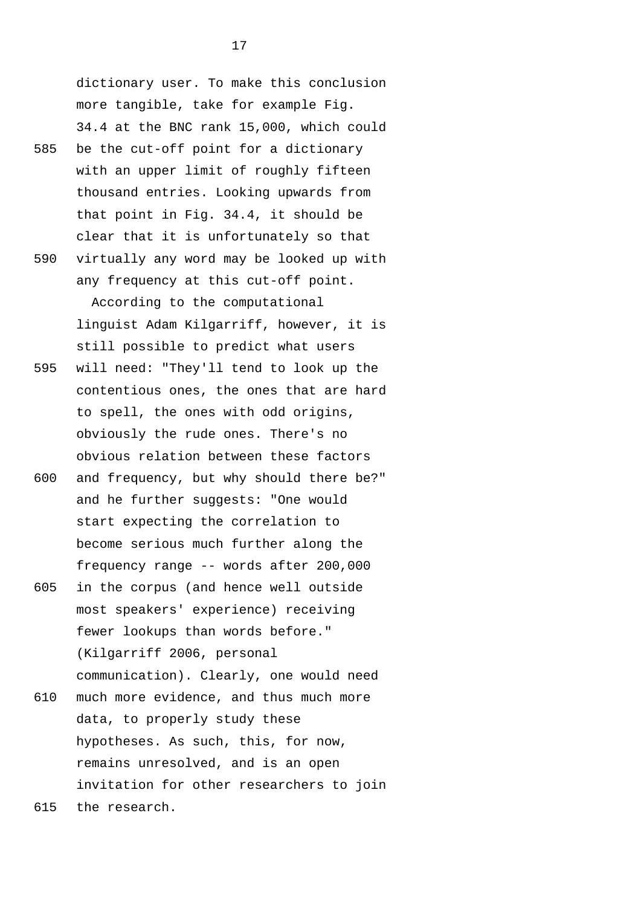dictionary user. To make this conclusion more tangible, take for example Fig. 34.4 at the BNC rank 15,000, which could 585 be the cut-off point for a dictionary with an upper limit of roughly fifteen thousand entries. Looking upwards from that point in Fig. 34.4, it should be clear that it is unfortunately so that

590 virtually any word may be looked up with any frequency at this cut-off point. According to the computational

linguist Adam Kilgarriff, however, it is still possible to predict what users 595 will need: "They'll tend to look up the contentious ones, the ones that are hard

- to spell, the ones with odd origins, obviously the rude ones. There's no obvious relation between these factors
- 600 and frequency, but why should there be?" and he further suggests: "One would start expecting the correlation to become serious much further along the frequency range -- words after 200,000
- 605 in the corpus (and hence well outside most speakers' experience) receiving fewer lookups than words before." (Kilgarriff 2006, personal communication). Clearly, one would need 610 much more evidence, and thus much more
- data, to properly study these hypotheses. As such, this, for now, remains unresolved, and is an open invitation for other researchers to join
- 615 the research.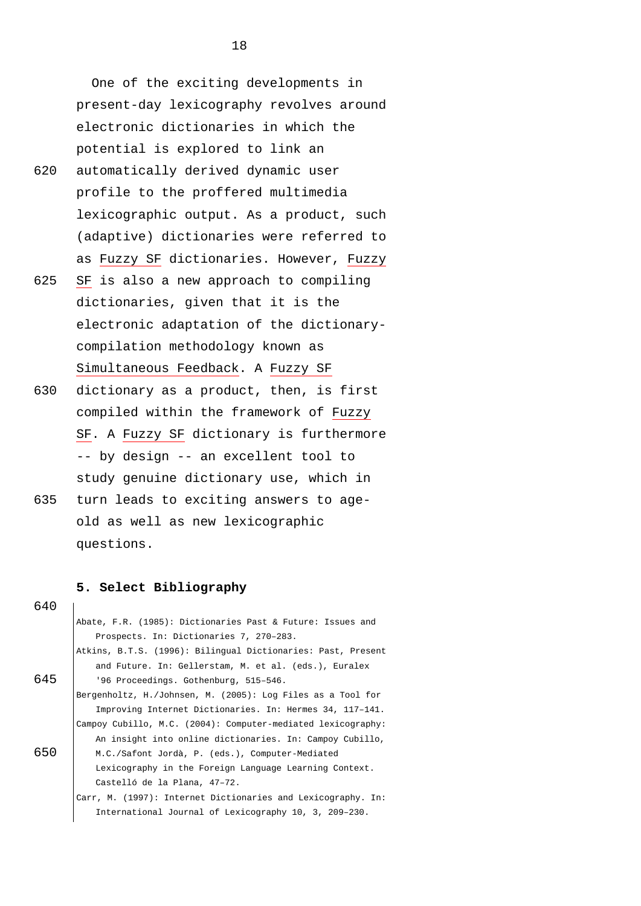One of the exciting developments in present-day lexicography revolves around electronic dictionaries in which the potential is explored to link an

- 620 automatically derived dynamic user profile to the proffered multimedia lexicographic output. As a product, such (adaptive) dictionaries were referred to as Fuzzy SF dictionaries. However, Fuzzy
- 625 SF is also a new approach to compiling dictionaries, given that it is the electronic adaptation of the dictionarycompilation methodology known as Simultaneous Feedback. A Fuzzy SF
- 630 dictionary as a product, then, is first compiled within the framework of Fuzzy SF. A Fuzzy SF dictionary is furthermore -- by design -- an excellent tool to study genuine dictionary use, which in
- 635 turn leads to exciting answers to ageold as well as new lexicographic questions.

### **5. Select Bibliography**

|     | Abate, F.R. (1985): Dictionaries Past & Future: Issues and   |
|-----|--------------------------------------------------------------|
|     | Prospects. In: Dictionaries 7, 270-283.                      |
|     | Atkins, B.T.S. (1996): Bilingual Dictionaries: Past, Present |
|     | and Future. In: Gellerstam, M. et al. (eds.), Euralex        |
| 645 | '96 Proceedings. Gothenburg, 515-546.                        |
|     | Bergenholtz, H./Johnsen, M. (2005): Log Files as a Tool for  |
|     | Improving Internet Dictionaries. In: Hermes 34, 117-141.     |
|     | Campoy Cubillo, M.C. (2004): Computer-mediated lexicography: |
|     | An insight into online dictionaries. In: Campoy Cubillo,     |
| 650 | M.C./Safont Jordà, P. (eds.), Computer-Mediated              |
|     | Lexicography in the Foreign Language Learning Context.       |
|     | Castelló de la Plana, 47-72.                                 |
|     | Carr, M. (1997): Internet Dictionaries and Lexicography. In: |
|     | International Journal of Lexicography 10, 3, 209-230.        |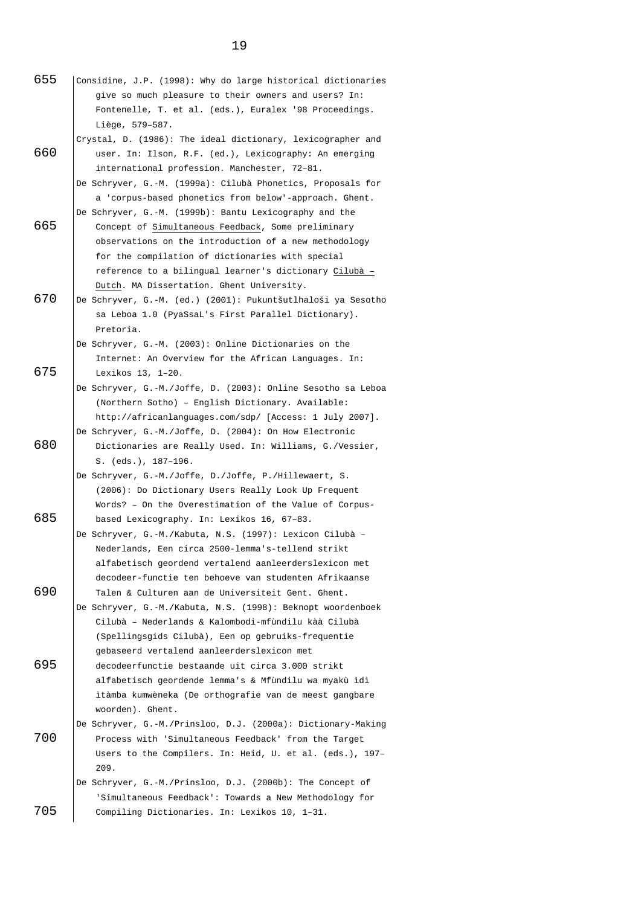- 655 Considine, J.P. (1998): Why do large historical dictionaries give so much pleasure to their owners and users? In: Fontenelle, T. et al. (eds.), Euralex '98 Proceedings. Liège, 579–587. Crystal, D. (1986): The ideal dictionary, lexicographer and 660 user. In: Ilson, R.F. (ed.), Lexicography: An emerging international profession. Manchester, 72–81. De Schryver, G.-M. (1999a): Cilubà Phonetics, Proposals for a 'corpus-based phonetics from below'-approach. Ghent. De Schryver, G.-M. (1999b): Bantu Lexicography and the 665 Concept of Simultaneous Feedback, Some preliminary observations on the introduction of a new methodology for the compilation of dictionaries with special reference to a bilingual learner's dictionary Cilubà – Dutch. MA Dissertation. Ghent University. 670 De Schryver, G.-M. (ed.) (2001): Pukuntšutlhaloši ya Sesotho sa Leboa 1.0 (PyaSsaL's First Parallel Dictionary). Pretoria. De Schryver, G.-M. (2003): Online Dictionaries on the Internet: An Overview for the African Languages. In: 675 Lexikos 13, 1–20. De Schryver, G.-M./Joffe, D. (2003): Online Sesotho sa Leboa (Northern Sotho) – English Dictionary. Available: <http://africanlanguages.com/sdp/> [Access: 1 July 2007]. De Schryver, G.-M./Joffe, D. (2004): On How Electronic 680 Dictionaries are Really Used. In: Williams, G./Vessier, S. (eds.), 187–196. De Schryver, G.-M./Joffe, D./Joffe, P./Hillewaert, S. (2006): Do Dictionary Users Really Look Up Frequent Words? – On the Overestimation of the Value of Corpus-685 based Lexicography. In: Lexikos 16, 67–83. De Schryver, G.-M./Kabuta, N.S. (1997): Lexicon Cilubà – Nederlands, Een circa 2500-lemma's-tellend strikt alfabetisch geordend vertalend aanleerderslexicon met decodeer-functie ten behoeve van studenten Afrikaanse 690 Talen & Culturen aan de Universiteit Gent. Ghent. De Schryver, G.-M./Kabuta, N.S. (1998): Beknopt woordenboek Cilubà – Nederlands & Kalombodi-mfùndilu kàà Cilubà (Spellingsgids Cilubà), Een op gebruiks-frequentie gebaseerd vertalend aanleerderslexicon met 695 decodeerfunctie bestaande uit circa 3.000 strikt alfabetisch geordende lemma's & Mfùndilu wa myakù ìdì ìtàmba kumwèneka (De orthografie van de meest gangbare woorden). Ghent. De Schryver, G.-M./Prinsloo, D.J. (2000a): Dictionary-Making 700 Process with 'Simultaneous Feedback' from the Target Users to the Compilers. In: Heid, U. et al. (eds.), 197– 209. De Schryver, G.-M./Prinsloo, D.J. (2000b): The Concept of 'Simultaneous Feedback': Towards a New Methodology for
- 705 Compiling Dictionaries. In: Lexikos 10, 1–31.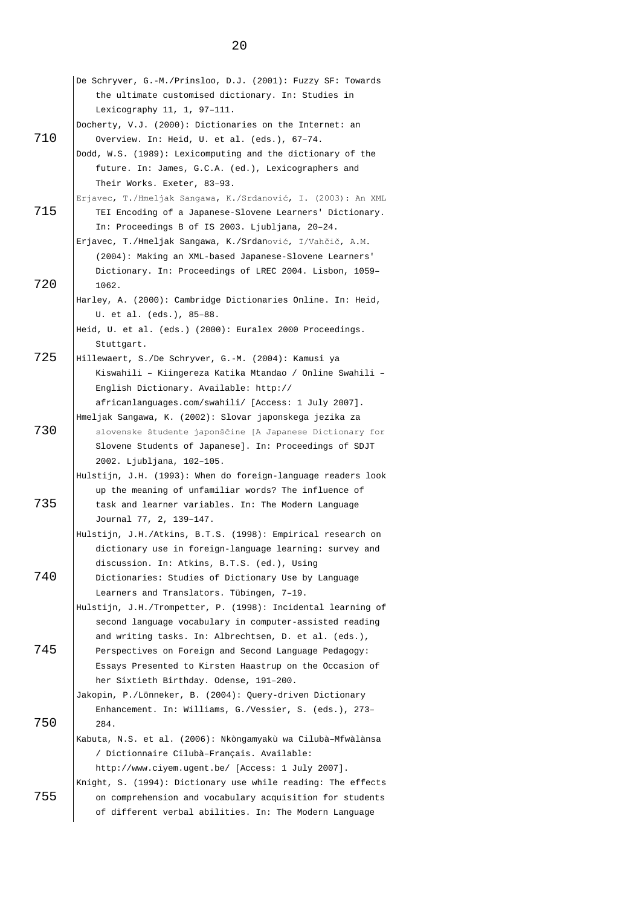|     | De Schryver, G.-M./Prinsloo, D.J. (2001): Fuzzy SF: Towards  |
|-----|--------------------------------------------------------------|
|     | the ultimate customised dictionary. In: Studies in           |
|     | Lexicography $11, 1, 97-111.$                                |
|     | Docherty, V.J. (2000): Dictionaries on the Internet: an      |
| 710 | Overview. In: Heid, U. et al. (eds.), 67-74.                 |
|     | Dodd, W.S. (1989): Lexicomputing and the dictionary of the   |
|     | future. In: James, G.C.A. (ed.), Lexicographers and          |
|     | Their Works. Exeter, 83-93.                                  |
|     | Erjavec, T./Hmeljak Sangawa, K./Srdanović, I. (2003): An XML |
| 715 | TEI Encoding of a Japanese-Slovene Learners' Dictionary.     |
|     | In: Proceedings B of IS 2003. Ljubljana, 20-24.              |
|     | Erjavec, T./Hmeljak Sangawa, K./Srdanović, I/Vahčič, A.M.    |
|     | (2004): Making an XML-based Japanese-Slovene Learners'       |
|     |                                                              |
| 720 | Dictionary. In: Proceedings of LREC 2004. Lisbon, 1059-      |
|     | 1062.                                                        |
|     | Harley, A. (2000): Cambridge Dictionaries Online. In: Heid,  |
|     | U. et al. (eds.), 85-88.                                     |
|     | Heid, U. et al. (eds.) (2000): Euralex 2000 Proceedings.     |
| 725 | Stuttgart.                                                   |
|     | Hillewaert, S./De Schryver, G.-M. (2004): Kamusi ya          |
|     | Kiswahili - Kiingereza Katika Mtandao / Online Swahili -     |
|     | English Dictionary. Available: http://                       |
|     | africanlanguages.com/swahili/ [Access: 1 July 2007].         |
|     | Hmeljak Sangawa, K. (2002): Slovar japonskega jezika za      |
| 730 | slovenske študente japonščine [A Japanese Dictionary for     |
|     | Slovene Students of Japanese]. In: Proceedings of SDJT       |
|     | 2002. Ljubljana, 102-105.                                    |
|     | Hulstijn, J.H. (1993): When do foreign-language readers look |
|     | up the meaning of unfamiliar words? The influence of         |
| 735 | task and learner variables. In: The Modern Language          |
|     | Journal 77, 2, 139-147.                                      |
|     | Hulstijn, J.H./Atkins, B.T.S. (1998): Empirical research on  |
|     | dictionary use in foreign-language learning: survey and      |
|     | discussion. In: Atkins, B.T.S. (ed.), Using                  |
| 740 | Dictionaries: Studies of Dictionary Use by Language          |
|     | Learners and Translators. Tübingen, 7-19.                    |
|     | Hulstijn, J.H./Trompetter, P. (1998): Incidental learning of |
|     | second language vocabulary in computer-assisted reading      |
|     | and writing tasks. In: Albrechtsen, D. et al. (eds.),        |
| 745 | Perspectives on Foreign and Second Language Pedagogy:        |
|     | Essays Presented to Kirsten Haastrup on the Occasion of      |
|     | her Sixtieth Birthday. Odense, 191-200.                      |
|     | Jakopin, P./Lönneker, B. (2004): Query-driven Dictionary     |
|     | Enhancement. In: Williams, G./Vessier, S. (eds.), 273-       |
| 750 | 284.                                                         |
|     | Kabuta, N.S. et al. (2006): Nkòngamyakù wa Cilubà-Mfwàlànsa  |
|     | / Dictionnaire Cilubà-Français. Available:                   |
|     | http://www.ciyem.ugent.be/ [Access: 1 July 2007].            |
|     | Knight, S. (1994): Dictionary use while reading: The effects |
| 755 | on comprehension and vocabulary acquisition for students     |
|     | of different verbal abilities. In: The Modern Language       |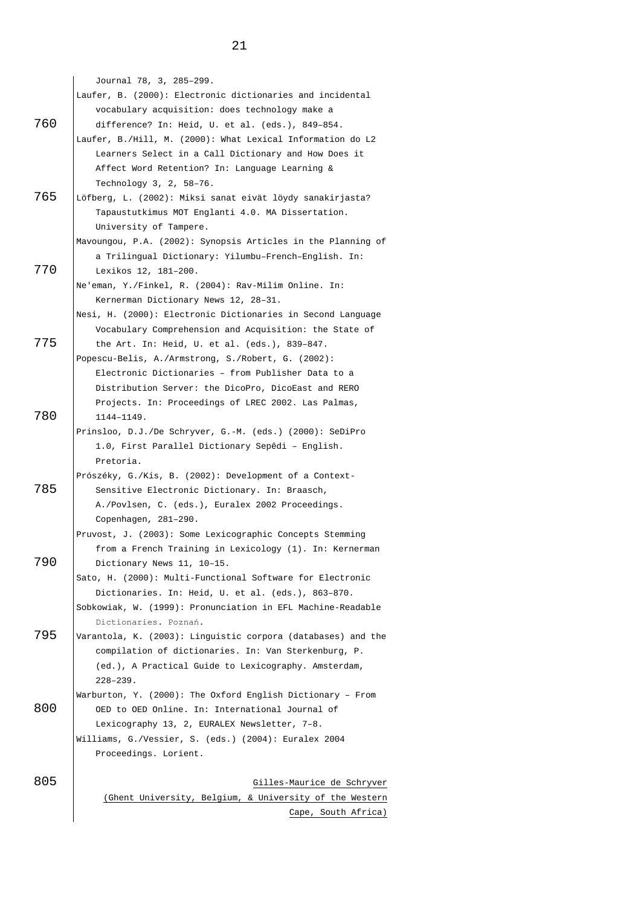Journal 78, 3, 285–299. Laufer, B. (2000): Electronic dictionaries and incidental vocabulary acquisition: does technology make a 760 difference? In: Heid, U. et al. (eds.), 849–854. Laufer, B./Hill, M. (2000): What Lexical Information do L2 Learners Select in a Call Dictionary and How Does it Affect Word Retention? In: Language Learning & Technology 3, 2, 58–76. 765 Löfberg, L. (2002): Miksi sanat eivät löydy sanakirjasta? Tapaustutkimus MOT Englanti 4.0. MA Dissertation. University of Tampere. Mavoungou, P.A. (2002): Synopsis Articles in the Planning of a Trilingual Dictionary: Yilumbu–French–English. In: 770 Lexikos 12, 181–200. Ne'eman, Y./Finkel, R. (2004): Rav-Milim Online. In: Kernerman Dictionary News 12, 28–31. Nesi, H. (2000): Electronic Dictionaries in Second Language Vocabulary Comprehension and Acquisition: the State of 775 the Art. In: Heid, U. et al. (eds.), 839–847. Popescu-Belis, A./Armstrong, S./Robert, G. (2002): Electronic Dictionaries – from Publisher Data to a Distribution Server: the DicoPro, DicoEast and RERO Projects. In: Proceedings of LREC 2002. Las Palmas, 780 1144–1149. Prinsloo, D.J./De Schryver, G.-M. (eds.) (2000): SeDiPro 1.0, First Parallel Dictionary Sepêdi – English. Pretoria. Prószéky, G./Kis, B. (2002): Development of a Context-785 Sensitive Electronic Dictionary. In: Braasch, A./Povlsen, C. (eds.), Euralex 2002 Proceedings. Copenhagen, 281–290. Pruvost, J. (2003): Some Lexicographic Concepts Stemming from a French Training in Lexicology (1). In: Kernerman 790 Dictionary News 11, 10-15. Sato, H. (2000): Multi-Functional Software for Electronic Dictionaries. In: Heid, U. et al. (eds.), 863–870. Sobkowiak, W. (1999): Pronunciation in EFL Machine-Readable Dictionaries. Poznań. 795 Varantola, K. (2003): Linguistic corpora (databases) and the compilation of dictionaries. In: Van Sterkenburg, P. (ed.), A Practical Guide to Lexicography. Amsterdam, 228–239. Warburton, Y. (2000): The Oxford English Dictionary – From 800 | OED to OED Online. In: International Journal of Lexicography 13, 2, EURALEX Newsletter, 7–8. Williams, G./Vessier, S. (eds.) (2004): Euralex 2004 Proceedings. Lorient. 805 Gilles-Maurice de Schryver (Ghent University, Belgium, & University of the Western Cape, South Africa)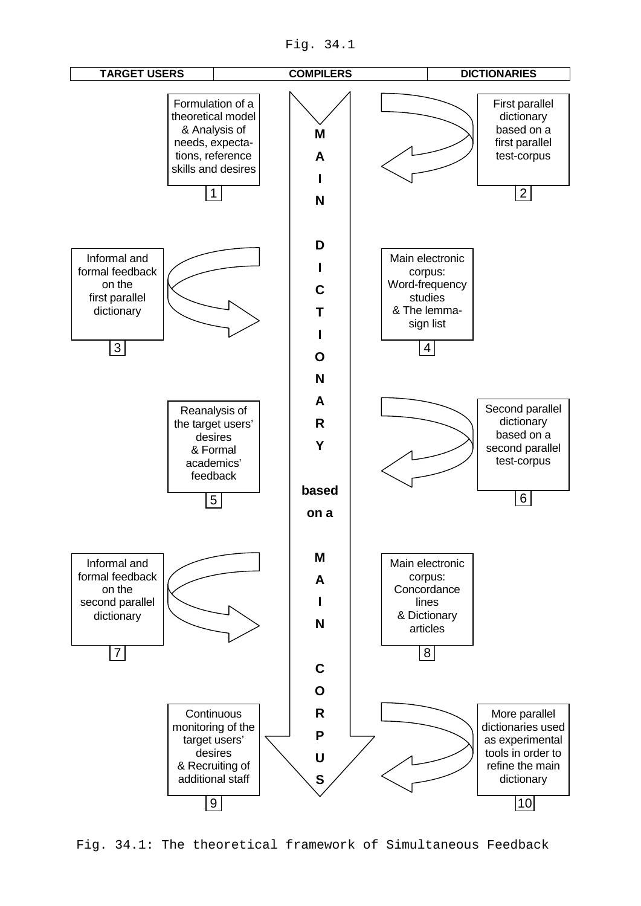Fig. 34.1



Fig. 34.1: The theoretical framework of Simultaneous Feedback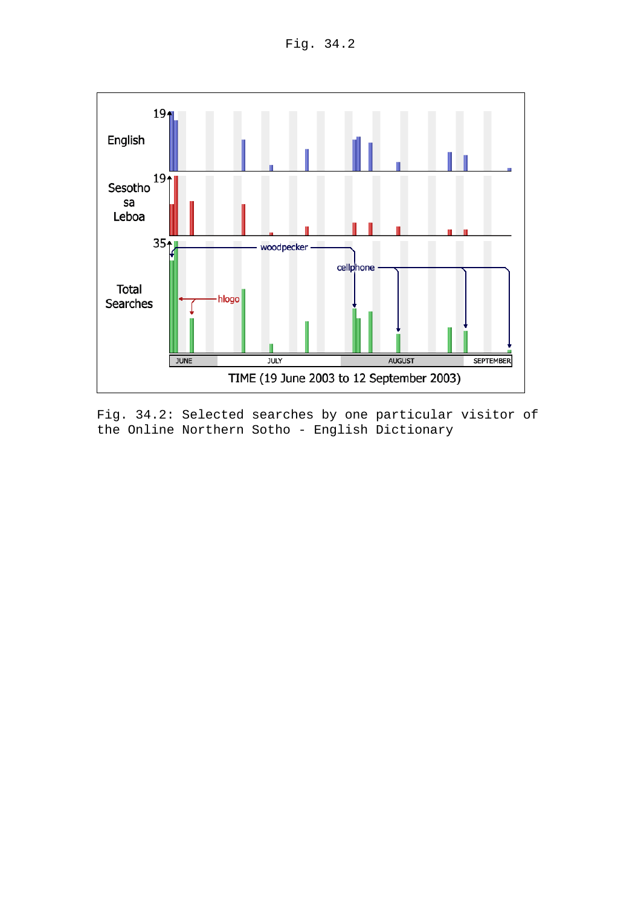Fig. 34.2



Fig. 34.2: Selected searches by one particular visitor of the Online Northern Sotho - English Dictionary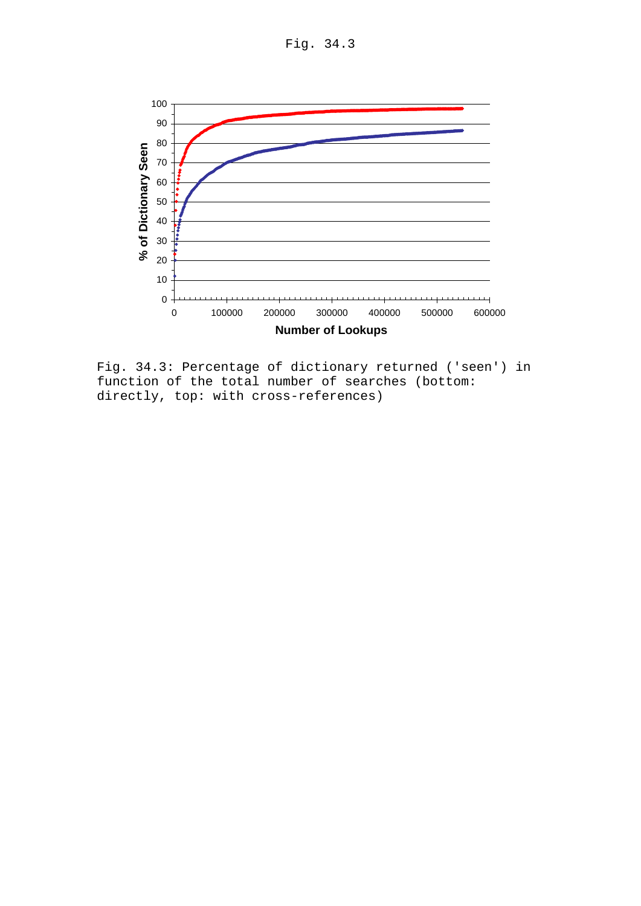Fig. 34.3



Fig. 34.3: Percentage of dictionary returned ('seen') in function of the total number of searches (bottom: directly, top: with cross-references)